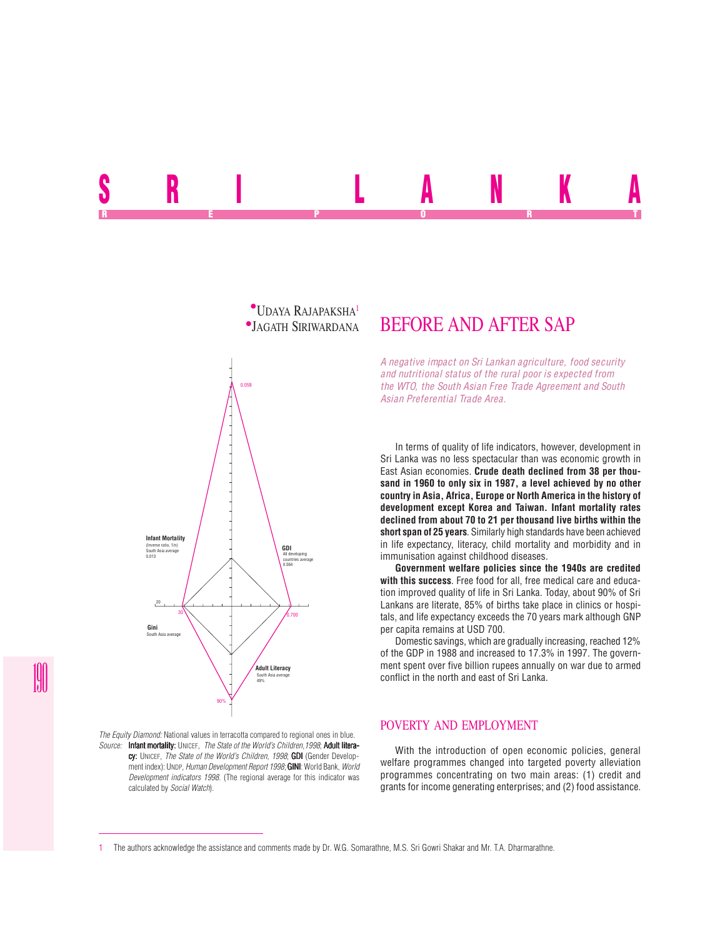



*The Equity Diamond:* National values in terracotta compared to regional ones in blue. *Source:* Infant mortality: UNICEF, *The State of the World's Children,1998*; Adult literacy: UNICEF, *The State of the World's Children, 1998*; **GDI** (Gender Development index): UNDP, *Human Development Report 1998*; **GINI**: World Bank, *World Development indicators 1998*. (The regional average for this indicator was calculated by *Social Watch*).

# BEFORE AND AFTER SAP

*A negative impact on Sri Lankan agriculture, food security and nutritional status of the rural poor is expected from the WTO, the South Asian Free Trade Agreement and South Asian Preferential Trade Area.*

In terms of quality of life indicators, however, development in Sri Lanka was no less spectacular than was economic growth in East Asian economies. **Crude death declined from 38 per thousand in 1960 to only six in 1987, a level achieved by no other country in Asia, Africa, Europe or North America in the history of development except Korea and Taiwan. Infant mortality rates declined from about 70 to 21 per thousand live births within the short span of 25 years**. Similarly high standards have been achieved in life expectancy, literacy, child mortality and morbidity and in immunisation against childhood diseases.

**Government welfare policies since the 1940s are credited with this success**. Free food for all, free medical care and education improved quality of life in Sri Lanka. Today, about 90% of Sri Lankans are literate, 85% of births take place in clinics or hospitals, and life expectancy exceeds the 70 years mark although GNP per capita remains at USD 700.

Domestic savings, which are gradually increasing, reached 12% of the GDP in 1988 and increased to 17.3% in 1997. The government spent over five billion rupees annually on war due to armed conflict in the north and east of Sri Lanka.

#### POVERTY AND EMPLOYMENT

With the introduction of open economic policies, general welfare programmes changed into targeted poverty alleviation programmes concentrating on two main areas: (1) credit and grants for income generating enterprises; and (2) food assistance.

<sup>1</sup> The authors acknowledge the assistance and comments made by Dr. W.G. Somarathne, M.S. Sri Gowri Shakar and Mr. T.A. Dharmarathne.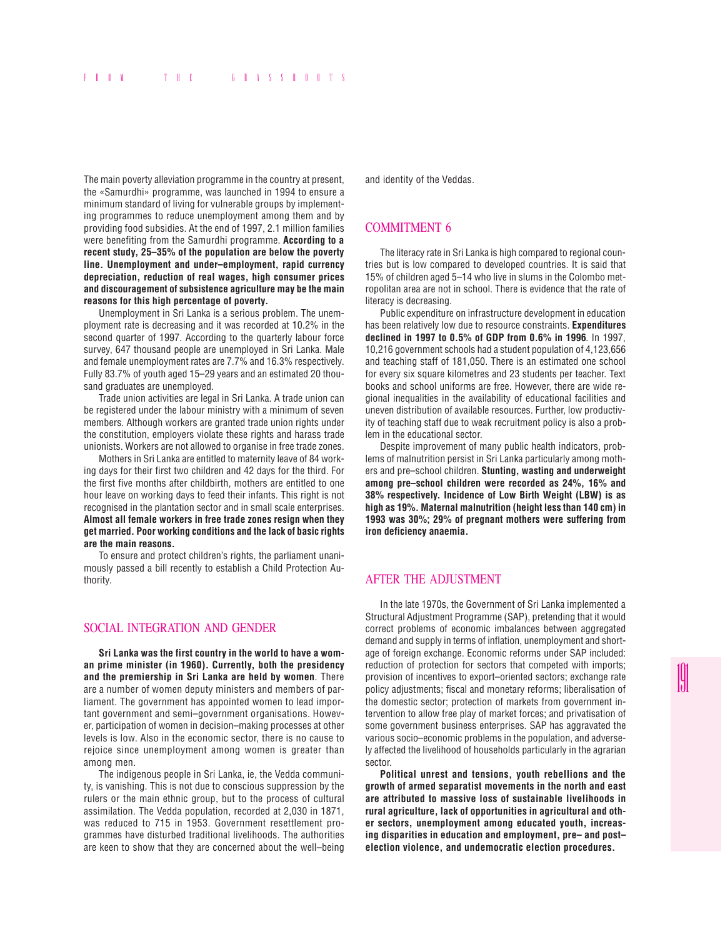The main poverty alleviation programme in the country at present, the «Samurdhi» programme, was launched in 1994 to ensure a minimum standard of living for vulnerable groups by implementing programmes to reduce unemployment among them and by providing food subsidies. At the end of 1997, 2.1 million families were benefiting from the Samurdhi programme. **According to a recent study, 25–35% of the population are below the poverty line. Unemployment and under–employment, rapid currency depreciation, reduction of real wages, high consumer prices and discouragement of subsistence agriculture may be the main reasons for this high percentage of poverty.**

Unemployment in Sri Lanka is a serious problem. The unemployment rate is decreasing and it was recorded at 10.2% in the second quarter of 1997. According to the quarterly labour force survey, 647 thousand people are unemployed in Sri Lanka. Male and female unemployment rates are 7.7% and 16.3% respectively. Fully 83.7% of youth aged 15–29 years and an estimated 20 thousand graduates are unemployed.

Trade union activities are legal in Sri Lanka. A trade union can be registered under the labour ministry with a minimum of seven members. Although workers are granted trade union rights under the constitution, employers violate these rights and harass trade unionists. Workers are not allowed to organise in free trade zones.

Mothers in Sri Lanka are entitled to maternity leave of 84 working days for their first two children and 42 days for the third. For the first five months after childbirth, mothers are entitled to one hour leave on working days to feed their infants. This right is not recognised in the plantation sector and in small scale enterprises. **Almost all female workers in free trade zones resign when they get married. Poor working conditions and the lack of basic rights are the main reasons.**

To ensure and protect children's rights, the parliament unanimously passed a bill recently to establish a Child Protection Authority.

#### SOCIAL INTEGRATION AND GENDER

**Sri Lanka was the first country in the world to have a woman prime minister (in 1960). Currently, both the presidency and the premiership in Sri Lanka are held by women**. There are a number of women deputy ministers and members of parliament. The government has appointed women to lead important government and semi–government organisations. However, participation of women in decision–making processes at other levels is low. Also in the economic sector, there is no cause to rejoice since unemployment among women is greater than among men.

The indigenous people in Sri Lanka, ie, the Vedda community, is vanishing. This is not due to conscious suppression by the rulers or the main ethnic group, but to the process of cultural assimilation. The Vedda population, recorded at 2,030 in 1871, was reduced to 715 in 1953. Government resettlement programmes have disturbed traditional livelihoods. The authorities are keen to show that they are concerned about the well–being and identity of the Veddas.

### COMMITMENT 6

The literacy rate in Sri Lanka is high compared to regional countries but is low compared to developed countries. It is said that 15% of children aged 5–14 who live in slums in the Colombo metropolitan area are not in school. There is evidence that the rate of literacy is decreasing.

Public expenditure on infrastructure development in education has been relatively low due to resource constraints. **Expenditures declined in 1997 to 0.5% of GDP from 0.6% in 1996**. In 1997, 10,216 government schools had a student population of 4,123,656 and teaching staff of 181,050. There is an estimated one school for every six square kilometres and 23 students per teacher. Text books and school uniforms are free. However, there are wide regional inequalities in the availability of educational facilities and uneven distribution of available resources. Further, low productivity of teaching staff due to weak recruitment policy is also a problem in the educational sector.

Despite improvement of many public health indicators, problems of malnutrition persist in Sri Lanka particularly among mothers and pre–school children. **Stunting, wasting and underweight among pre–school children were recorded as 24%, 16% and 38% respectively. Incidence of Low Birth Weight (LBW) is as high as 19%. Maternal malnutrition (height less than 140 cm) in 1993 was 30%; 29% of pregnant mothers were suffering from iron deficiency anaemia.**

## AFTER THE ADJUSTMENT

In the late 1970s, the Government of Sri Lanka implemented a Structural Adjustment Programme (SAP), pretending that it would correct problems of economic imbalances between aggregated demand and supply in terms of inflation, unemployment and shortage of foreign exchange. Economic reforms under SAP included: reduction of protection for sectors that competed with imports; provision of incentives to export–oriented sectors; exchange rate policy adjustments; fiscal and monetary reforms; liberalisation of the domestic sector; protection of markets from government intervention to allow free play of market forces; and privatisation of some government business enterprises. SAP has aggravated the various socio–economic problems in the population, and adversely affected the livelihood of households particularly in the agrarian sector.

**Political unrest and tensions, youth rebellions and the growth of armed separatist movements in the north and east are attributed to massive loss of sustainable livelihoods in rural agriculture, lack of opportunities in agricultural and other sectors, unemployment among educated youth, increasing disparities in education and employment, pre– and post– election violence, and undemocratic election procedures.**